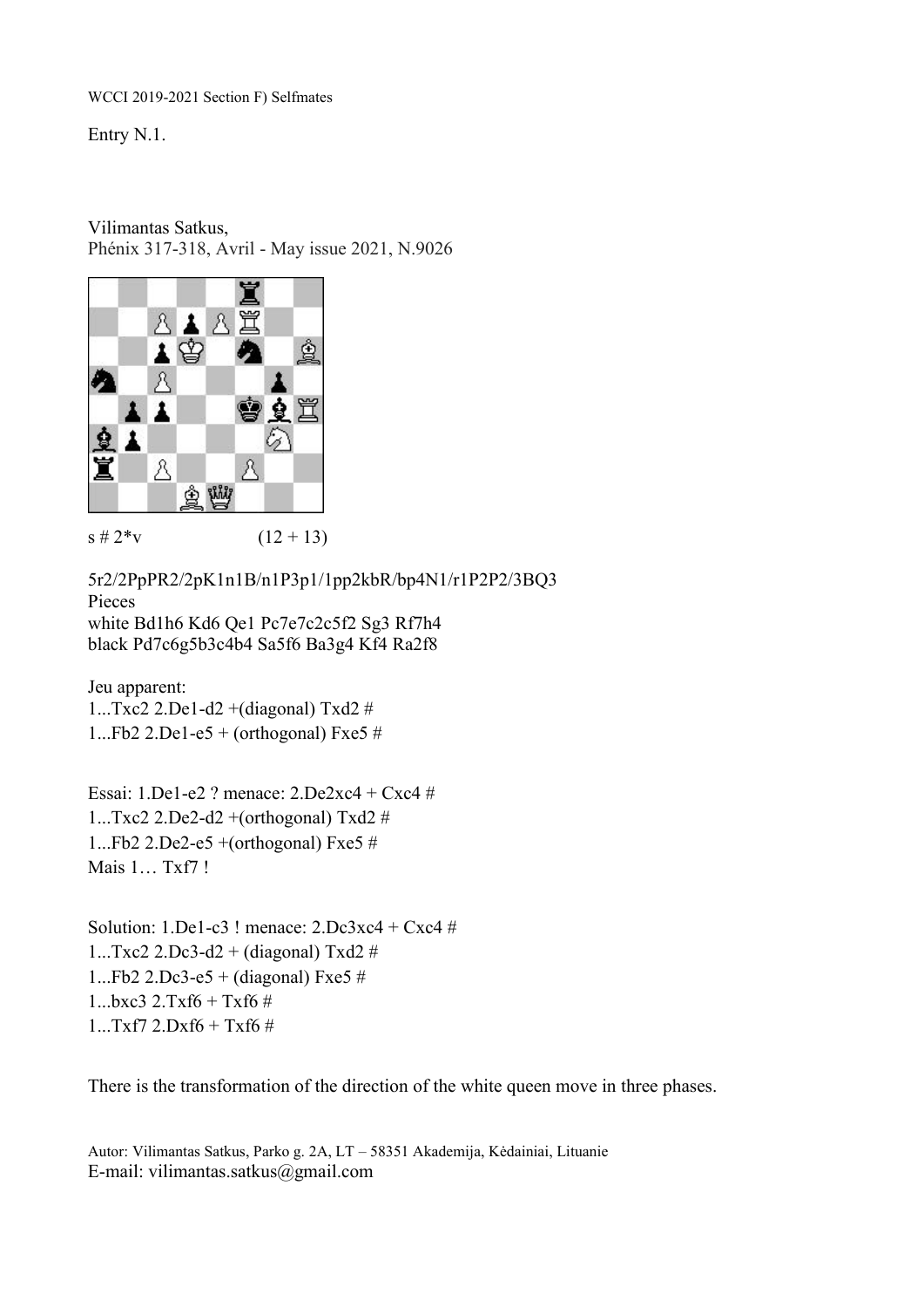Entry N.1.

Vilimantas Satkus,

Phénix 317-318, Avril - May issue 2021, N.9026



 $s \# 2^*v$  (12 + 13)

5r2/2PpPR2/2pK1n1B/n1P3p1/1pp2kbR/bp4N1/r1P2P2/3BQ3 Pieces white Bd1h6 Kd6 Qe1 Pc7e7c2c5f2 Sg3 Rf7h4 black Pd7c6g5b3c4b4 Sa5f6 Ba3g4 Kf4 Ra2f8

Jeu apparent: 1...Txc2 2.De1-d2 +(diagonal) Txd2 # 1...Fb2 2.De1-e5 + (orthogonal) Fxe5 #

Essai: 1.De1-e2 ? menace:2.De2xc4 + Cxc4 # 1...Txc2 2.De2-d2 +(orthogonal) Txd2 # 1...Fb2 2.De2-e5  $+$ (orthogonal) Fxe5  $\#$ Mais 1… Txf7 !

Solution:  $1.$ De $1$ -c $3$ ! menace:  $2.$ Dc $3xc4 + Cxc4 \neq$ 1...Txc2 2.Dc3-d2 + (diagonal) Txd2  $#$ 1...Fb2 2.Dc3-e5 + (diagonal) Fxe5  $#$  $1...bxc3$   $2.Txf6 + Txf6$  # 1...Txf7 2.Dxf6 + Txf6 #

There is the transformation of the direction of the white queen move in three phases.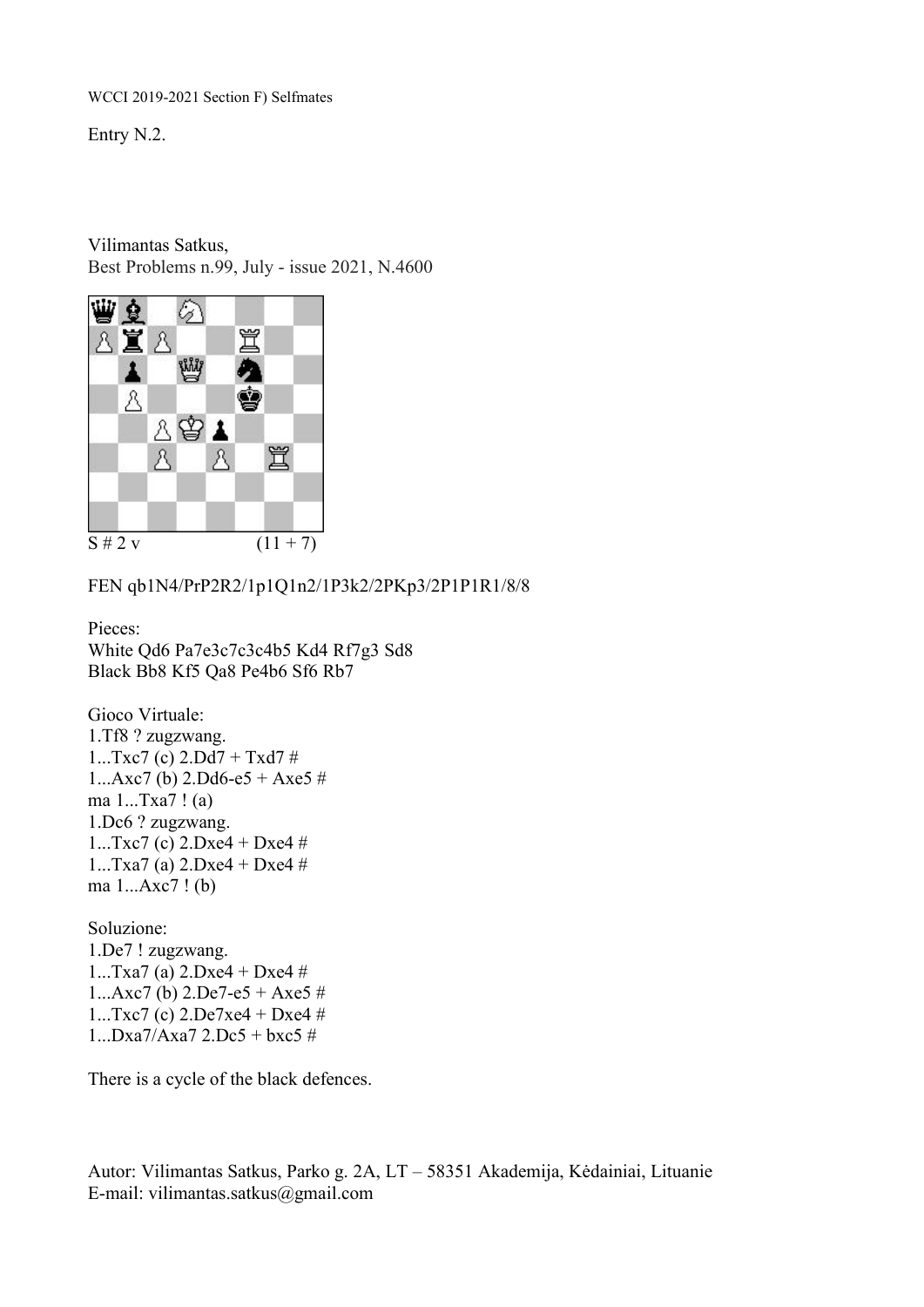Entry N.2.

Vilimantas Satkus, Best Problems n.99, July - issue 2021, N.4600



FEN qb1N4/PrP2R2/1p1Q1n2/1P3k2/2PKp3/2P1P1R1/8/8

Pieces: White Qd6 Pa7e3c7c3c4b5 Kd4 Rf7g3 Sd8 Black Bb8 Kf5 Qa8 Pe4b6 Sf6 Rb7

Gioco Virtuale: 1.Tf8 ? zugzwang.  $1...Txc7$  (c)  $2.Dd7 + Txd7$ #  $1...Axc7$  (b)  $2.Dd6-e5 + Axe5 \#$ ma 1...Txa7 ! (a) 1.Dc6 ? zugzwang.  $1...Txc7$  (c)  $2.Dxe4 + Dxe4 \#$ 1...Txa7 (a)  $2.$ Dxe4 + Dxe4 # ma 1...Axc7 ! (b)

Soluzione: 1.De7 ! zugzwang. 1...Txa7 (a) 2.Dxe4 + Dxe4 #  $1...Axc7$  (b)  $2.De7-e5 + Axe5 \#$  $1...Txc7$  (c)  $2.De7xe4 + Dxe4 \#$  $1...Dxa7/Axa7$  2.Dc5 + bxc5 #

There is a cycle of the black defences.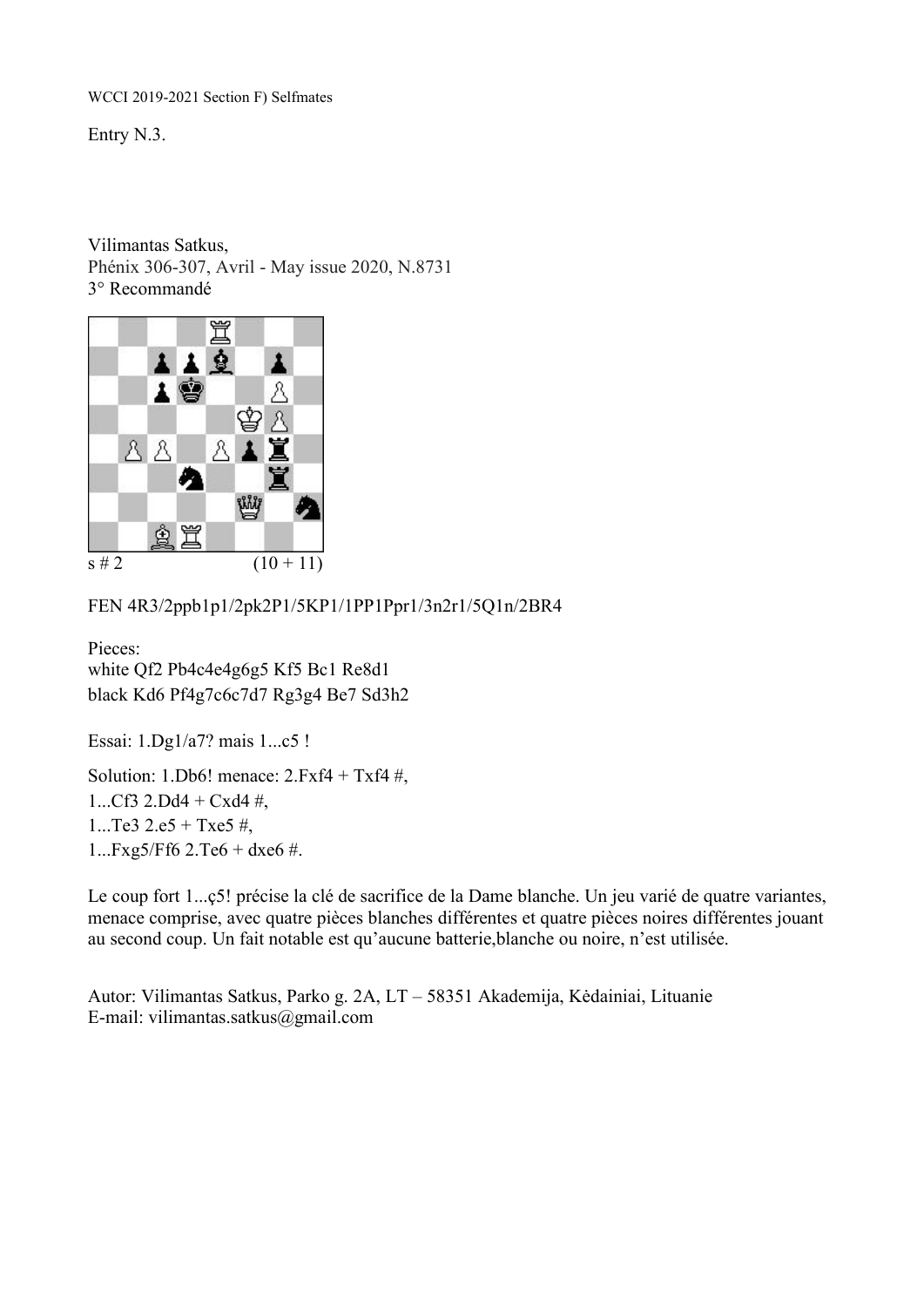Entry N.3.

Vilimantas Satkus, Phénix 306-307, Avril - May issue 2020, N.8731 3° Recommandé



FEN 4R3/2ppb1p1/2pk2P1/5KP1/1PP1Ppr1/3n2r1/5Q1n/2BR4

Pieces: white Qf2 Pb4c4e4g6g5 Kf5 Bc1 Re8d1 black Kd6 Pf4g7c6c7d7 Rg3g4 Be7 Sd3h2

Essai: 1.Dg1/a7? mais 1...c5 !

Solution: 1.Db6! menace:  $2.Fxf4 + Txf4 #$ , 1...Cf3 2.Dd4 + Cxd4  $\#$ , 1...Te3 2.e5 + Txe5  $\#$ , 1...Fxg5/Ff6 2.Te6 + dxe6 #.

Le coup fort 1...ç5! précise la clé de sacrifice de la Dame blanche. Un jeu varié de quatre variantes, menace comprise, avec quatre pièces blanches différentes et quatre pièces noires différentes jouant au second coup. Un fait notable est qu'aucune batterie,blanche ou noire, n'est utilisée.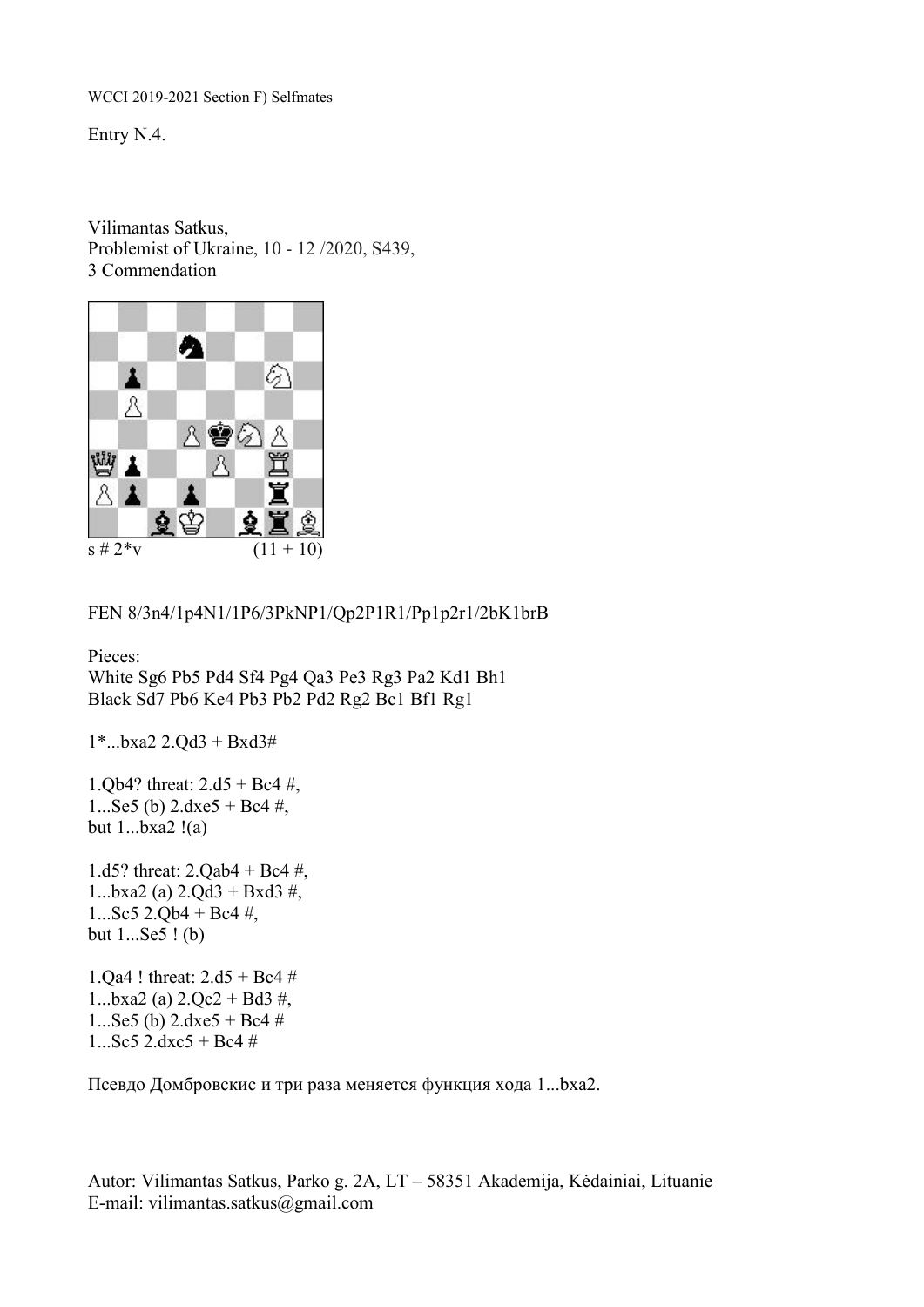Entry N.4.

Vilimantas Satkus, Problemist of Ukraine, 10 - 12 /2020, S439, 3 Commendation



FEN 8/3n4/1p4N1/1P6/3PkNP1/Qp2P1R1/Pp1p2r1/2bK1brB

Pieces: White Sg6 Pb5 Pd4 Sf4 Pg4 Qa3 Pe3 Rg3 Pa2 Kd1 Bh1 Black Sd7 Pb6 Ke4 Pb3 Pb2 Pd2 Rg2 Bc1 Bf1 Rg1

1\*...bxa2 2.Qd3 + Bxd3#

1.Qb4? threat:  $2. d5 + Bc4$ #, 1...Se5 (b)  $2.\text{dxe5} + \text{Be4} \#$ , but  $1...$ bxa $2!(a)$ 

1.d5? threat: 2.Qab4 + Bc4 #, 1...bxa2 (a)  $2.$ Qd $3 +$ Bxd $3 \#$ , 1...Sc5 2.Qb4 + Bc4  $\#$ , but 1...Se5 ! (b)

1.Qa4 ! threat: 2.d5 + Bc4 # 1...bxa2 (a)  $2.Qc2 + Bd3 #$ , 1...Se5 (b)  $2.\text{dxe5} + \text{Be4} \neq$  $1...$ Sc5 2.dxc5 + Bc4 #

Псевдо Домбровскис и три раза меняется функция хода 1...bxa2.<br>Autor: Vilimantas Satkus, Parko g. 2A, LT – 58351 Akademija, Kėdainiai, Lituanie

E-mail: vilimantas.satkus@gmail.com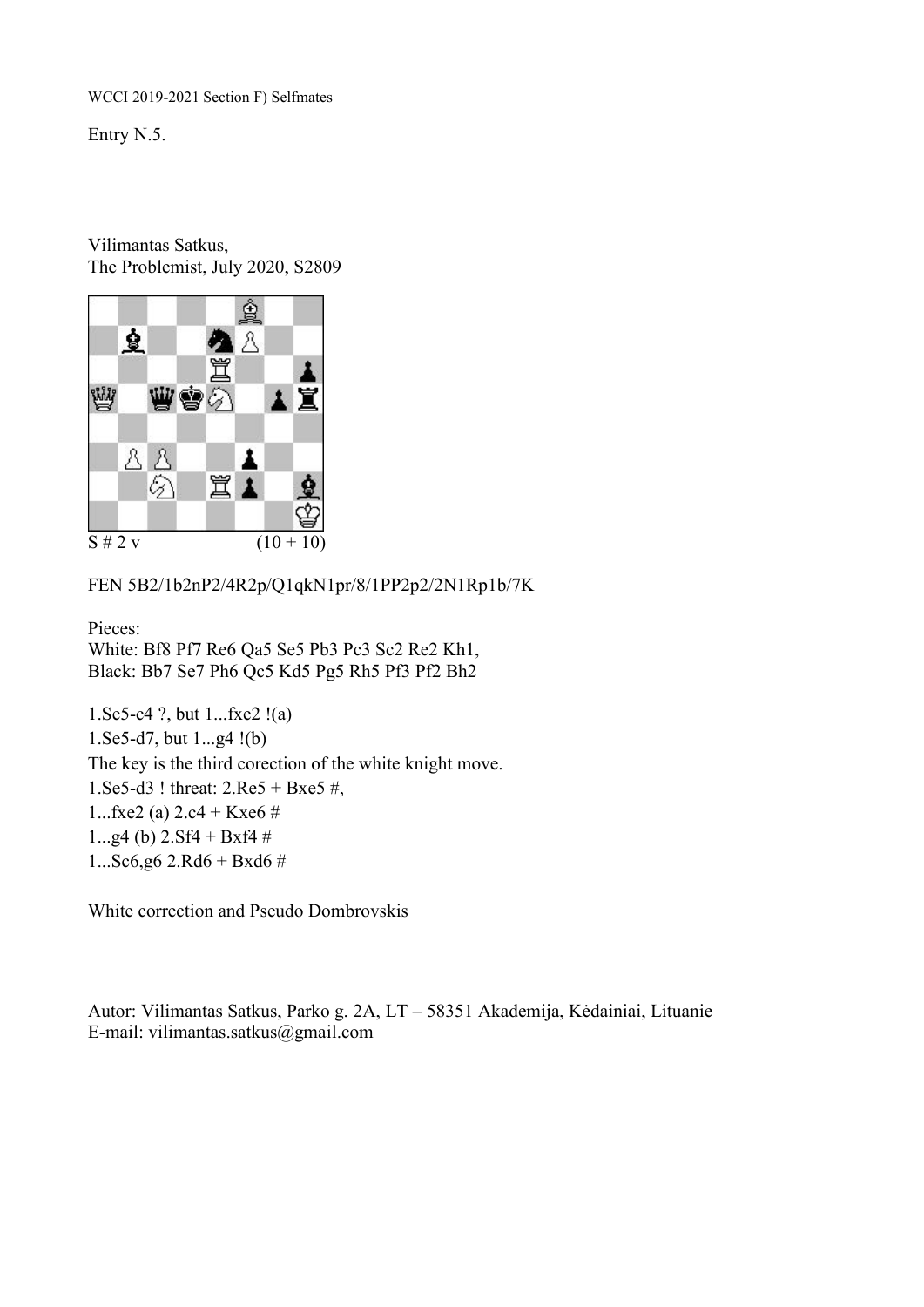Entry N.5.

Vilimantas Satkus, The Problemist, July 2020, S2809



FEN 5B2/1b2nP2/4R2p/Q1qkN1pr/8/1PP2p2/2N1Rp1b/7K

Pieces: White: Bf8 Pf7 Re6 Qa5 Se5 Pb3 Pc3 Sc2 Re2 Kh1, Black: Bb7 Se7 Ph6 Qc5 Kd5 Pg5 Rh5 Pf3 Pf2 Bh2

1.Se5-c4 ?, but 1...fxe2 !(a) 1.Se5-d7, but 1...g4 !(b) The key is the third corection of the white knight move. 1.Se5-d3 ! threat: 2.Re5 + Bxe5 #, 1...fxe2 (a)  $2.c4 + Kxe6 \#$ 1...g4 (b)  $2. Sf4 + Bxf4 \#$  $1...$ Sc6,g6 2.Rd6 + Bxd6 #

White correction and Pseudo Dombrovskis